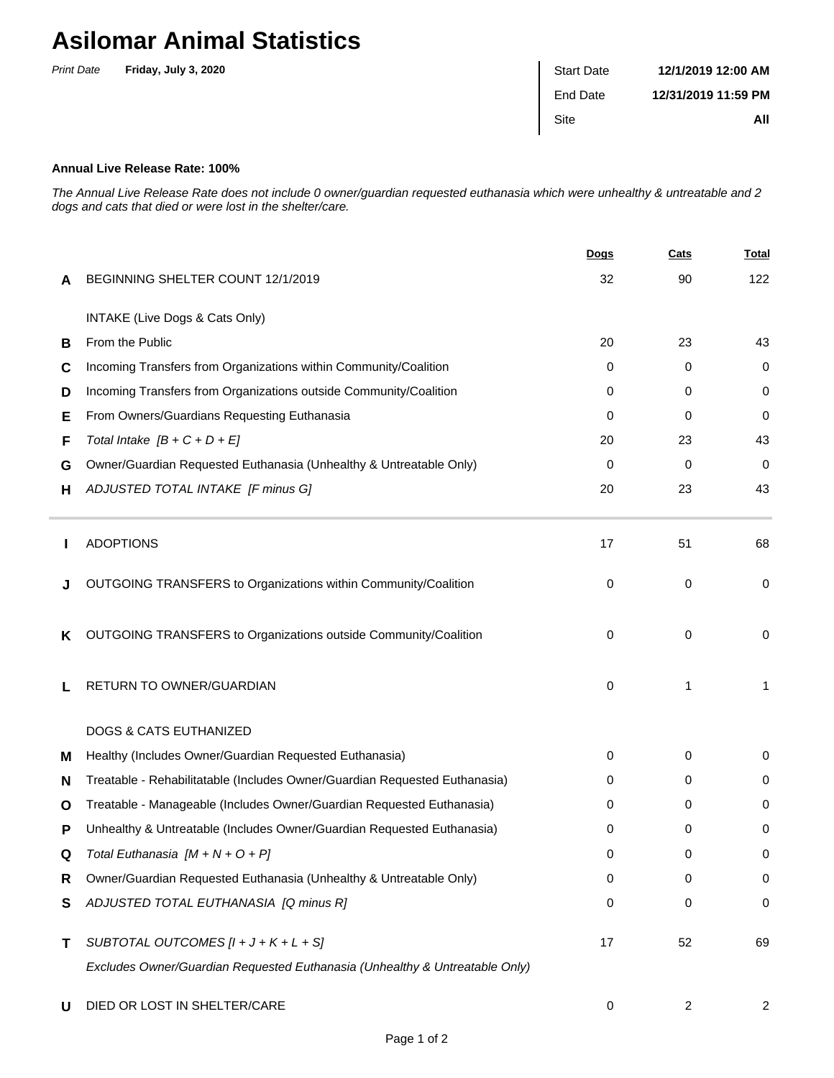## **Asilomar Animal Statistics**

| <b>Print Date</b> | Friday, July 3, 2020 | <b>Start Date</b> | 12/1/2019 12:00 AM  |
|-------------------|----------------------|-------------------|---------------------|
|                   |                      | End Date          | 12/31/2019 11:59 PM |
|                   |                      | Site              | All                 |

## **Annual Live Release Rate: 100%**

The Annual Live Release Rate does not include 0 owner/guardian requested euthanasia which were unhealthy & untreatable and 2 dogs and cats that died or were lost in the shelter/care.

|   |                                                                             | <b>Dogs</b> | Cats | <b>Total</b> |
|---|-----------------------------------------------------------------------------|-------------|------|--------------|
| A | BEGINNING SHELTER COUNT 12/1/2019                                           | 32          | 90   | 122          |
|   | INTAKE (Live Dogs & Cats Only)                                              |             |      |              |
| В | From the Public                                                             | 20          | 23   | 43           |
| С | Incoming Transfers from Organizations within Community/Coalition            | 0           | 0    | 0            |
| D | Incoming Transfers from Organizations outside Community/Coalition           | 0           | 0    | 0            |
| Е | From Owners/Guardians Requesting Euthanasia                                 | 0           | 0    | 0            |
| F | Total Intake $[B + C + D + E]$                                              | 20          | 23   | 43           |
| G | Owner/Guardian Requested Euthanasia (Unhealthy & Untreatable Only)          | 0           | 0    | $\mathbf 0$  |
| н | ADJUSTED TOTAL INTAKE [F minus G]                                           | 20          | 23   | 43           |
|   | <b>ADOPTIONS</b>                                                            | 17          | 51   | 68           |
|   | OUTGOING TRANSFERS to Organizations within Community/Coalition              | 0           | 0    | $\mathbf 0$  |
| ĸ | OUTGOING TRANSFERS to Organizations outside Community/Coalition             | 0           | 0    | 0            |
|   | RETURN TO OWNER/GUARDIAN                                                    | 0           | 1    | 1            |
|   | <b>DOGS &amp; CATS EUTHANIZED</b>                                           |             |      |              |
| м | Healthy (Includes Owner/Guardian Requested Euthanasia)                      | 0           | 0    | 0            |
| N | Treatable - Rehabilitatable (Includes Owner/Guardian Requested Euthanasia)  | 0           | 0    | 0            |
| O | Treatable - Manageable (Includes Owner/Guardian Requested Euthanasia)       | 0           | 0    | 0            |
| Р | Unhealthy & Untreatable (Includes Owner/Guardian Requested Euthanasia)      | 0           | 0    | 0            |
| Q | Total Euthanasia $[M + N + O + P]$                                          | 0           | 0    | 0            |
| R | Owner/Guardian Requested Euthanasia (Unhealthy & Untreatable Only)          | 0           | 0    | 0            |
| S | ADJUSTED TOTAL EUTHANASIA [Q minus R]                                       | 0           | 0    | $\pmb{0}$    |
| Τ | SUBTOTAL OUTCOMES $[l + J + K + L + S]$                                     | 17          | 52   | 69           |
|   | Excludes Owner/Guardian Requested Euthanasia (Unhealthy & Untreatable Only) |             |      |              |
| U | DIED OR LOST IN SHELTER/CARE                                                | 0           | 2    | 2            |